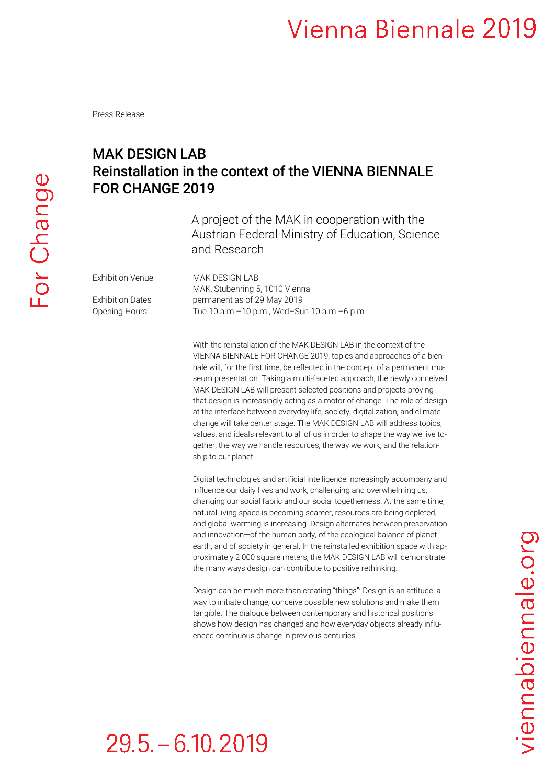Press Release

### MAK DESIGN LAB Reinstallation in the context of the VIENNA BIENNALE FOR CHANGE 2019

A project of the MAK in cooperation with the Austrian Federal Ministry of Education, Science and Research

Exhibition Venue MAK DESIGN LAB

MAK, Stubenring 5, 1010 Vienna Exhibition Dates permanent as of 29 May 2019 Opening Hours Tue 10 a.m.–10 p.m., Wed–Sun 10 a.m.–6 p.m.

> With the reinstallation of the MAK DESIGN LAB in the context of the VIENNA BIENNALE FOR CHANGE 2019, topics and approaches of a biennale will, for the first time, be reflected in the concept of a permanent museum presentation. Taking a multi-faceted approach, the newly conceived MAK DESIGN LAB will present selected positions and projects proving that design is increasingly acting as a motor of change. The role of design at the interface between everyday life, society, digitalization, and climate change will take center stage. The MAK DESIGN LAB will address topics, values, and ideals relevant to all of us in order to shape the way we live together, the way we handle resources, the way we work, and the relationship to our planet.

> Digital technologies and artificial intelligence increasingly accompany and influence our daily lives and work, challenging and overwhelming us, changing our social fabric and our social togetherness. At the same time, natural living space is becoming scarcer, resources are being depleted, and global warming is increasing. Design alternates between preservation and innovation—of the human body, of the ecological balance of planet earth, and of society in general. In the reinstalled exhibition space with approximately 2 000 square meters, the MAK DESIGN LAB will demonstrate the many ways design can contribute to positive rethinking.

Design can be much more than creating "things": Design is an attitude, a way to initiate change, conceive possible new solutions and make them tangible. The dialogue between contemporary and historical positions shows how design has changed and how everyday objects already influenced continuous change in previous centuries.

# viennabiennale.org

# $29.5 - 6.10, 2019$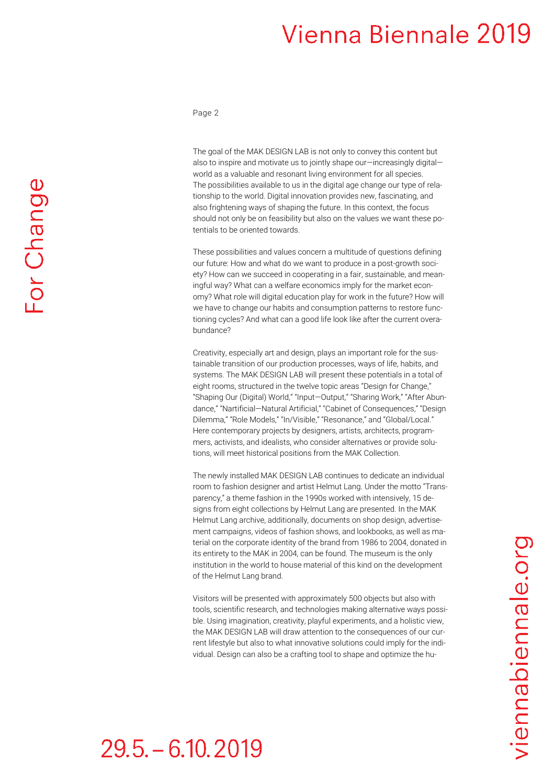Page 2

The goal of the MAK DESIGN LAB is not only to convey this content but also to inspire and motivate us to jointly shape our—increasingly digital world as a valuable and resonant living environment for all species. The possibilities available to us in the digital age change our type of relationship to the world. Digital innovation provides new, fascinating, and also frightening ways of shaping the future. In this context, the focus should not only be on feasibility but also on the values we want these potentials to be oriented towards.

These possibilities and values concern a multitude of questions defining our future: How and what do we want to produce in a post-growth society? How can we succeed in cooperating in a fair, sustainable, and meaningful way? What can a welfare economics imply for the market economy? What role will digital education play for work in the future? How will we have to change our habits and consumption patterns to restore functioning cycles? And what can a good life look like after the current overabundance?

Creativity, especially art and design, plays an important role for the sustainable transition of our production processes, ways of life, habits, and systems. The MAK DESIGN LAB will present these potentials in a total of eight rooms, structured in the twelve topic areas "Design for Change," "Shaping Our (Digital) World," "Input—Output," "Sharing Work," "After Abundance," "Nartificial—Natural Artificial," "Cabinet of Consequences," "Design Dilemma," "Role Models," "In/Visible," "Resonance," and "Global/Local." Here contemporary projects by designers, artists, architects, programmers, activists, and idealists, who consider alternatives or provide solutions, will meet historical positions from the MAK Collection.

The newly installed MAK DESIGN LAB continues to dedicate an individual room to fashion designer and artist Helmut Lang. Under the motto "Transparency," a theme fashion in the 1990s worked with intensively, 15 designs from eight collections by Helmut Lang are presented. In the MAK Helmut Lang archive, additionally, documents on shop design, advertisement campaigns, videos of fashion shows, and lookbooks, as well as material on the corporate identity of the brand from 1986 to 2004, donated in its entirety to the MAK in 2004, can be found. The museum is the only institution in the world to house material of this kind on the development of the Helmut Lang brand.

Visitors will be presented with approximately 500 objects but also with tools, scientific research, and technologies making alternative ways possible. Using imagination, creativity, playful experiments, and a holistic view, the MAK DESIGN LAB will draw attention to the consequences of our current lifestyle but also to what innovative solutions could imply for the individual. Design can also be a crafting tool to shape and optimize the hu-

# $29.5 - 6.10, 2019$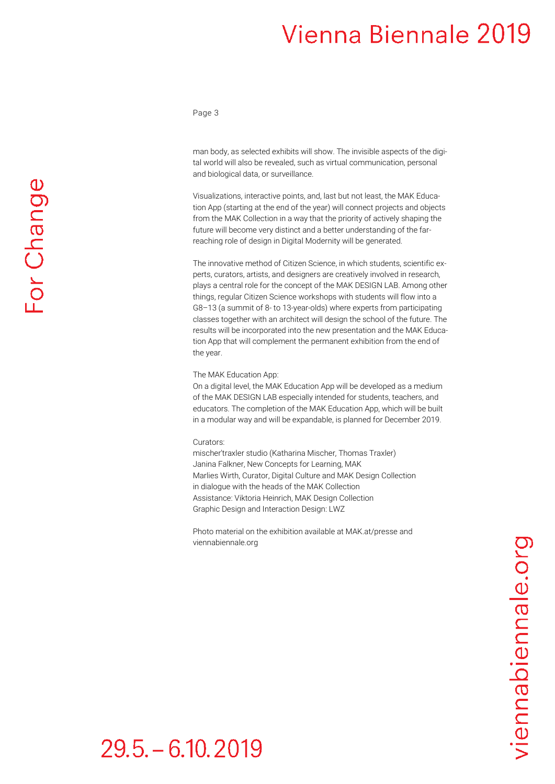Page 3

man body, as selected exhibits will show. The invisible aspects of the digital world will also be revealed, such as virtual communication, personal and biological data, or surveillance.

Visualizations, interactive points, and, last but not least, the MAK Education App (starting at the end of the year) will connect projects and objects from the MAK Collection in a way that the priority of actively shaping the future will become very distinct and a better understanding of the farreaching role of design in Digital Modernity will be generated.

The innovative method of Citizen Science, in which students, scientific experts, curators, artists, and designers are creatively involved in research, plays a central role for the concept of the MAK DESIGN LAB. Among other things, regular Citizen Science workshops with students will flow into a G8–13 (a summit of 8- to 13-year-olds) where experts from participating classes together with an architect will design the school of the future. The results will be incorporated into the new presentation and the MAK Education App that will complement the permanent exhibition from the end of the year.

### The MAK Education App:

On a digital level, the MAK Education App will be developed as a medium of the MAK DESIGN LAB especially intended for students, teachers, and educators. The completion of the MAK Education App, which will be built in a modular way and will be expandable, is planned for December 2019.

### Curators:

mischer′traxler studio (Katharina Mischer, Thomas Traxler) Janina Falkner, New Concepts for Learning, MAK Marlies Wirth, Curator, Digital Culture and MAK Design Collection in dialogue with the heads of the MAK Collection Assistance: Viktoria Heinrich, MAK Design Collection Graphic Design and Interaction Design: LWZ

Photo material on the exhibition available at MAK.at/presse and viennabiennale.org

# $29.5 - 6.10, 2019$